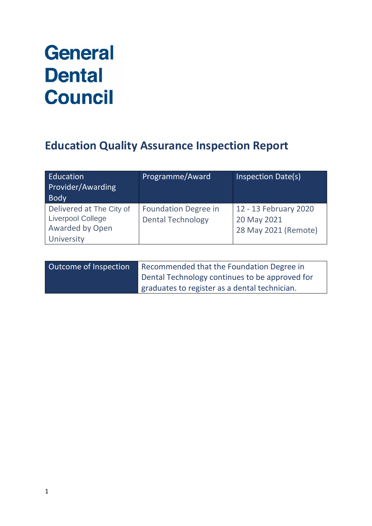# **General Dental Council**

# **Education Quality Assurance Inspection Report**

| Education<br>Provider/Awarding<br><b>Body</b>                                         | Programme/Award                                         | Inspection Date(s)                                           |
|---------------------------------------------------------------------------------------|---------------------------------------------------------|--------------------------------------------------------------|
| Delivered at The City of<br><b>Liverpool College</b><br>Awarded by Open<br>University | <b>Foundation Degree in</b><br><b>Dental Technology</b> | 12 - 13 February 2020<br>20 May 2021<br>28 May 2021 (Remote) |

| Outcome of Inspection | Recommended that the Foundation Degree in      |
|-----------------------|------------------------------------------------|
|                       | Dental Technology continues to be approved for |
|                       | graduates to register as a dental technician.  |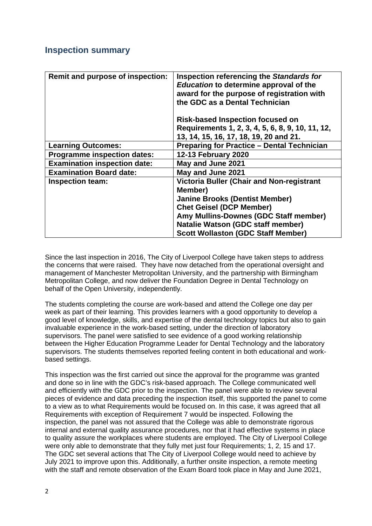### **Inspection summary**

| Remit and purpose of inspection:    | Inspection referencing the Standards for<br>Education to determine approval of the<br>award for the purpose of registration with<br>the GDC as a Dental Technician |
|-------------------------------------|--------------------------------------------------------------------------------------------------------------------------------------------------------------------|
|                                     | <b>Risk-based Inspection focused on</b><br>Requirements 1, 2, 3, 4, 5, 6, 8, 9, 10, 11, 12,<br>13, 14, 15, 16, 17, 18, 19, 20 and 21.                              |
| <b>Learning Outcomes:</b>           | <b>Preparing for Practice - Dental Technician</b>                                                                                                                  |
| <b>Programme inspection dates:</b>  | <b>12-13 February 2020</b>                                                                                                                                         |
| <b>Examination inspection date:</b> | May and June 2021                                                                                                                                                  |
| <b>Examination Board date:</b>      | May and June 2021                                                                                                                                                  |
| <b>Inspection team:</b>             | Victoria Buller (Chair and Non-registrant<br>Member)                                                                                                               |
|                                     | <b>Janine Brooks (Dentist Member)</b>                                                                                                                              |
|                                     | <b>Chet Geisel (DCP Member)</b>                                                                                                                                    |
|                                     | Amy Mullins-Downes (GDC Staff member)                                                                                                                              |
|                                     | Natalie Watson (GDC staff member)                                                                                                                                  |
|                                     | <b>Scott Wollaston (GDC Staff Member)</b>                                                                                                                          |

Since the last inspection in 2016, The City of Liverpool College have taken steps to address the concerns that were raised. They have now detached from the operational oversight and management of Manchester Metropolitan University, and the partnership with Birmingham Metropolitan College, and now deliver the Foundation Degree in Dental Technology on behalf of the Open University, independently.

The students completing the course are work-based and attend the College one day per week as part of their learning. This provides learners with a good opportunity to develop a good level of knowledge, skills, and expertise of the dental technology topics but also to gain invaluable experience in the work-based setting, under the direction of laboratory supervisors. The panel were satisfied to see evidence of a good working relationship between the Higher Education Programme Leader for Dental Technology and the laboratory supervisors. The students themselves reported feeling content in both educational and workbased settings.

This inspection was the first carried out since the approval for the programme was granted and done so in line with the GDC's risk-based approach. The College communicated well and efficiently with the GDC prior to the inspection. The panel were able to review several pieces of evidence and data preceding the inspection itself, this supported the panel to come to a view as to what Requirements would be focused on. In this case, it was agreed that all Requirements with exception of Requirement 7 would be inspected. Following the inspection, the panel was not assured that the College was able to demonstrate rigorous internal and external quality assurance procedures, nor that it had effective systems in place to quality assure the workplaces where students are employed. The City of Liverpool College were only able to demonstrate that they fully met just four Requirements; 1, 2, 15 and 17. The GDC set several actions that The City of Liverpool College would need to achieve by July 2021 to improve upon this. Additionally, a further onsite inspection, a remote meeting with the staff and remote observation of the Exam Board took place in May and June 2021,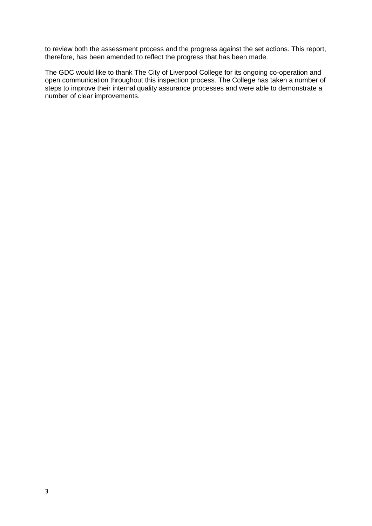to review both the assessment process and the progress against the set actions. This report, therefore, has been amended to reflect the progress that has been made.

The GDC would like to thank The City of Liverpool College for its ongoing co-operation and open communication throughout this inspection process. The College has taken a number of steps to improve their internal quality assurance processes and were able to demonstrate a number of clear improvements.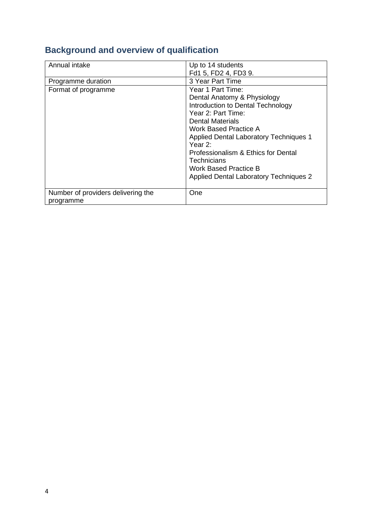| Annual intake                                   | Up to 14 students<br>Fd1 5, FD2 4, FD3 9.                                                                                                                                                                                                                                                                                                                            |
|-------------------------------------------------|----------------------------------------------------------------------------------------------------------------------------------------------------------------------------------------------------------------------------------------------------------------------------------------------------------------------------------------------------------------------|
| Programme duration                              | 3 Year Part Time                                                                                                                                                                                                                                                                                                                                                     |
| Format of programme                             | Year 1 Part Time:<br>Dental Anatomy & Physiology<br>Introduction to Dental Technology<br>Year 2: Part Time:<br><b>Dental Materials</b><br>Work Based Practice A<br><b>Applied Dental Laboratory Techniques 1</b><br>Year $2^{\circ}$<br>Professionalism & Ethics for Dental<br>Technicians<br>Work Based Practice B<br><b>Applied Dental Laboratory Techniques 2</b> |
| Number of providers delivering the<br>programme | One                                                                                                                                                                                                                                                                                                                                                                  |

# **Background and overview of qualification**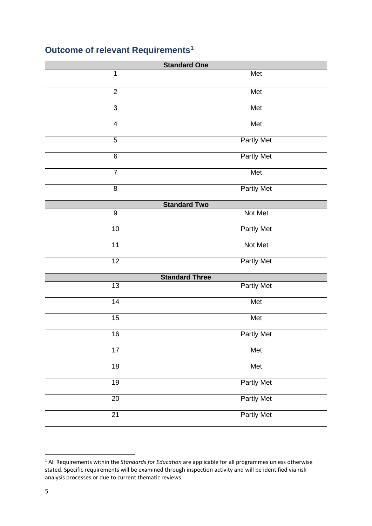# **Outcome of relevant Requirements[1](#page-4-0)**

| <b>Standard One</b>     |                       |  |  |
|-------------------------|-----------------------|--|--|
| 1                       | Met                   |  |  |
| $\overline{2}$          | Met                   |  |  |
| 3                       | Met                   |  |  |
| $\overline{\mathbf{4}}$ | Met                   |  |  |
| 5                       | <b>Partly Met</b>     |  |  |
| $\,6$                   | <b>Partly Met</b>     |  |  |
| $\overline{7}$          | Met                   |  |  |
| $\, 8$                  | <b>Partly Met</b>     |  |  |
|                         | <b>Standard Two</b>   |  |  |
| $\overline{9}$          | Not Met               |  |  |
| $10$                    | Partly Met            |  |  |
| 11                      | Not Met               |  |  |
| $\overline{12}$         | <b>Partly Met</b>     |  |  |
|                         | <b>Standard Three</b> |  |  |
| 13                      | <b>Partly Met</b>     |  |  |
| 14                      | Met                   |  |  |
| 15                      | Met                   |  |  |
| 16                      | <b>Partly Met</b>     |  |  |
| 17                      | Met                   |  |  |
| $\overline{18}$         | Met                   |  |  |
| $\overline{19}$         | <b>Partly Met</b>     |  |  |
| 20                      | <b>Partly Met</b>     |  |  |
| $\overline{21}$         | Partly Met            |  |  |

<span id="page-4-0"></span> All Requirements within the *Standards for Education* are applicable for all programmes unless otherwise stated. Specific requirements will be examined through inspection activity and will be identified via risk analysis processes or due to current thematic reviews.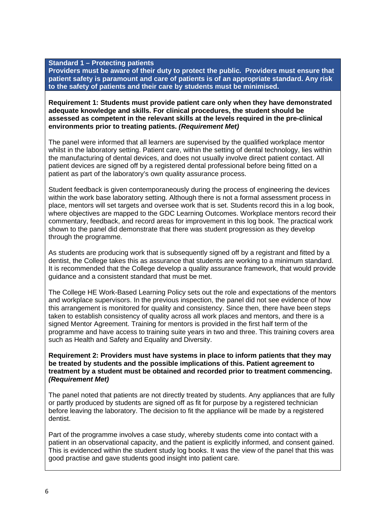#### **Standard 1 – Protecting patients**

**Providers must be aware of their duty to protect the public. Providers must ensure that patient safety is paramount and care of patients is of an appropriate standard. Any risk to the safety of patients and their care by students must be minimised.**

#### **Requirement 1: Students must provide patient care only when they have demonstrated adequate knowledge and skills. For clinical procedures, the student should be assessed as competent in the relevant skills at the levels required in the pre-clinical environments prior to treating patients.** *(Requirement Met)*

The panel were informed that all learners are supervised by the qualified workplace mentor whilst in the laboratory setting. Patient care, within the setting of dental technology, lies within the manufacturing of dental devices, and does not usually involve direct patient contact. All patient devices are signed off by a registered dental professional before being fitted on a patient as part of the laboratory's own quality assurance process.

Student feedback is given contemporaneously during the process of engineering the devices within the work base laboratory setting. Although there is not a formal assessment process in place, mentors will set targets and oversee work that is set. Students record this in a log book, where objectives are mapped to the GDC Learning Outcomes. Workplace mentors record their commentary, feedback, and record areas for improvement in this log book. The practical work shown to the panel did demonstrate that there was student progression as they develop through the programme.

As students are producing work that is subsequently signed off by a registrant and fitted by a dentist, the College takes this as assurance that students are working to a minimum standard. It is recommended that the College develop a quality assurance framework, that would provide guidance and a consistent standard that must be met.

The College HE Work-Based Learning Policy sets out the role and expectations of the mentors and workplace supervisors. In the previous inspection, the panel did not see evidence of how this arrangement is monitored for quality and consistency. Since then, there have been steps taken to establish consistency of quality across all work places and mentors, and there is a signed Mentor Agreement. Training for mentors is provided in the first half term of the programme and have access to training suite years in two and three. This training covers area such as Health and Safety and Equality and Diversity.

#### **Requirement 2: Providers must have systems in place to inform patients that they may be treated by students and the possible implications of this. Patient agreement to treatment by a student must be obtained and recorded prior to treatment commencing.**  *(Requirement Met)*

The panel noted that patients are not directly treated by students. Any appliances that are fully or partly produced by students are signed off as fit for purpose by a registered technician before leaving the laboratory. The decision to fit the appliance will be made by a registered dentist.

Part of the programme involves a case study, whereby students come into contact with a patient in an observational capacity, and the patient is explicitly informed, and consent gained. This is evidenced within the student study log books. It was the view of the panel that this was good practise and gave students good insight into patient care.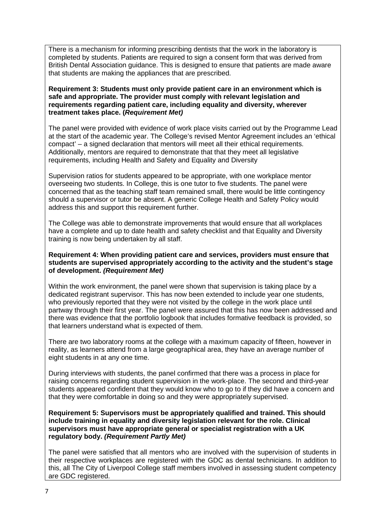There is a mechanism for informing prescribing dentists that the work in the laboratory is completed by students. Patients are required to sign a consent form that was derived from British Dental Association guidance. This is designed to ensure that patients are made aware that students are making the appliances that are prescribed.

**Requirement 3: Students must only provide patient care in an environment which is safe and appropriate. The provider must comply with relevant legislation and requirements regarding patient care, including equality and diversity, wherever treatment takes place. (***Requirement Met)*

The panel were provided with evidence of work place visits carried out by the Programme Lead at the start of the academic year. The College's revised Mentor Agreement includes an 'ethical compact' – a signed declaration that mentors will meet all their ethical requirements. Additionally, mentors are required to demonstrate that that they meet all legislative requirements, including Health and Safety and Equality and Diversity

Supervision ratios for students appeared to be appropriate, with one workplace mentor overseeing two students. In College, this is one tutor to five students. The panel were concerned that as the teaching staff team remained small, there would be little contingency should a supervisor or tutor be absent. A generic College Health and Safety Policy would address this and support this requirement further.

The College was able to demonstrate improvements that would ensure that all workplaces have a complete and up to date health and safety checklist and that Equality and Diversity training is now being undertaken by all staff.

#### **Requirement 4: When providing patient care and services, providers must ensure that students are supervised appropriately according to the activity and the student's stage of development.** *(Requirement Met)*

Within the work environment, the panel were shown that supervision is taking place by a dedicated registrant supervisor. This has now been extended to include year one students, who previously reported that they were not visited by the college in the work place until partway through their first year. The panel were assured that this has now been addressed and there was evidence that the portfolio logbook that includes formative feedback is provided, so that learners understand what is expected of them.

There are two laboratory rooms at the college with a maximum capacity of fifteen, however in reality, as learners attend from a large geographical area, they have an average number of eight students in at any one time.

During interviews with students, the panel confirmed that there was a process in place for raising concerns regarding student supervision in the work-place. The second and third-year students appeared confident that they would know who to go to if they did have a concern and that they were comfortable in doing so and they were appropriately supervised.

**Requirement 5: Supervisors must be appropriately qualified and trained. This should include training in equality and diversity legislation relevant for the role. Clinical supervisors must have appropriate general or specialist registration with a UK regulatory body.** *(Requirement Partly Met)*

The panel were satisfied that all mentors who are involved with the supervision of students in their respective workplaces are registered with the GDC as dental technicians. In addition to this, all The City of Liverpool College staff members involved in assessing student competency are GDC registered.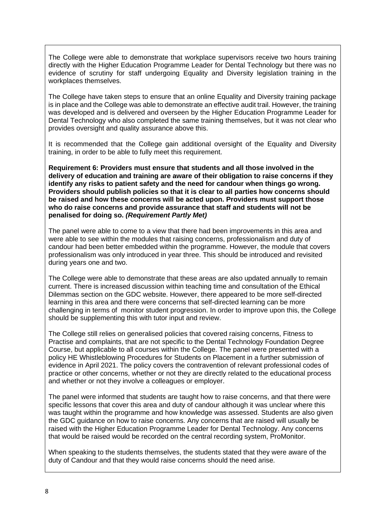The College were able to demonstrate that workplace supervisors receive two hours training directly with the Higher Education Programme Leader for Dental Technology but there was no evidence of scrutiny for staff undergoing Equality and Diversity legislation training in the workplaces themselves.

The College have taken steps to ensure that an online Equality and Diversity training package is in place and the College was able to demonstrate an effective audit trail. However, the training was developed and is delivered and overseen by the Higher Education Programme Leader for Dental Technology who also completed the same training themselves, but it was not clear who provides oversight and quality assurance above this.

It is recommended that the College gain additional oversight of the Equality and Diversity training, in order to be able to fully meet this requirement.

**Requirement 6: Providers must ensure that students and all those involved in the delivery of education and training are aware of their obligation to raise concerns if they identify any risks to patient safety and the need for candour when things go wrong. Providers should publish policies so that it is clear to all parties how concerns should be raised and how these concerns will be acted upon. Providers must support those who do raise concerns and provide assurance that staff and students will not be penalised for doing so.** *(Requirement Partly Met)*

The panel were able to come to a view that there had been improvements in this area and were able to see within the modules that raising concerns, professionalism and duty of candour had been better embedded within the programme. However, the module that covers professionalism was only introduced in year three. This should be introduced and revisited during years one and two.

The College were able to demonstrate that these areas are also updated annually to remain current. There is increased discussion within teaching time and consultation of the Ethical Dilemmas section on the GDC website. However, there appeared to be more self-directed learning in this area and there were concerns that self-directed learning can be more challenging in terms of monitor student progression. In order to improve upon this, the College should be supplementing this with tutor input and review.

The College still relies on generalised policies that covered raising concerns, Fitness to Practise and complaints, that are not specific to the Dental Technology Foundation Degree Course, but applicable to all courses within the College. The panel were presented with a policy HE Whistleblowing Procedures for Students on Placement in a further submission of evidence in April 2021. The policy covers the contravention of relevant professional codes of practice or other concerns, whether or not they are directly related to the educational process and whether or not they involve a colleagues or employer.

The panel were informed that students are taught how to raise concerns, and that there were specific lessons that cover this area and duty of candour although it was unclear where this was taught within the programme and how knowledge was assessed. Students are also given the GDC guidance on how to raise concerns. Any concerns that are raised will usually be raised with the Higher Education Programme Leader for Dental Technology. Any concerns that would be raised would be recorded on the central recording system, ProMonitor.

When speaking to the students themselves, the students stated that they were aware of the duty of Candour and that they would raise concerns should the need arise.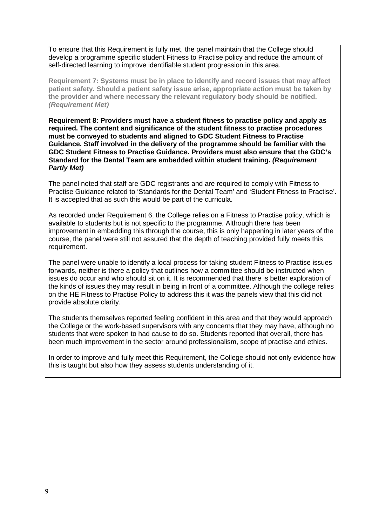To ensure that this Requirement is fully met, the panel maintain that the College should develop a programme specific student Fitness to Practise policy and reduce the amount of self-directed learning to improve identifiable student progression in this area.

**Requirement 7: Systems must be in place to identify and record issues that may affect patient safety. Should a patient safety issue arise, appropriate action must be taken by the provider and where necessary the relevant regulatory body should be notified.**  *(Requirement Met)*

**Requirement 8: Providers must have a student fitness to practise policy and apply as required. The content and significance of the student fitness to practise procedures must be conveyed to students and aligned to GDC Student Fitness to Practise Guidance. Staff involved in the delivery of the programme should be familiar with the GDC Student Fitness to Practise Guidance. Providers must also ensure that the GDC's Standard for the Dental Team are embedded within student training.** *(Requirement Partly Met)*

The panel noted that staff are GDC registrants and are required to comply with Fitness to Practise Guidance related to 'Standards for the Dental Team' and 'Student Fitness to Practise'. It is accepted that as such this would be part of the curricula.

As recorded under Requirement 6, the College relies on a Fitness to Practise policy, which is available to students but is not specific to the programme. Although there has been improvement in embedding this through the course, this is only happening in later years of the course, the panel were still not assured that the depth of teaching provided fully meets this requirement.

The panel were unable to identify a local process for taking student Fitness to Practise issues forwards, neither is there a policy that outlines how a committee should be instructed when issues do occur and who should sit on it. It is recommended that there is better exploration of the kinds of issues they may result in being in front of a committee. Although the college relies on the HE Fitness to Practise Policy to address this it was the panels view that this did not provide absolute clarity.

The students themselves reported feeling confident in this area and that they would approach the College or the work-based supervisors with any concerns that they may have, although no students that were spoken to had cause to do so. Students reported that overall, there has been much improvement in the sector around professionalism, scope of practise and ethics.

In order to improve and fully meet this Requirement, the College should not only evidence how this is taught but also how they assess students understanding of it.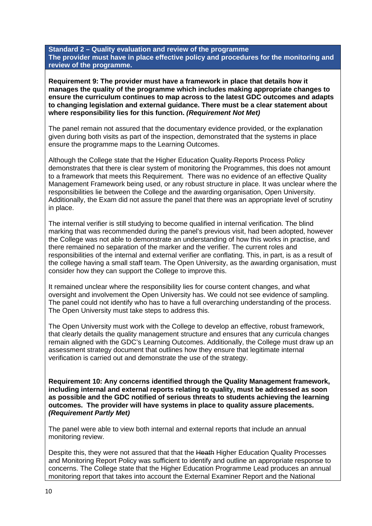**Standard 2 – Quality evaluation and review of the programme The provider must have in place effective policy and procedures for the monitoring and review of the programme.**

**Requirement 9: The provider must have a framework in place that details how it manages the quality of the programme which includes making appropriate changes to ensure the curriculum continues to map across to the latest GDC outcomes and adapts to changing legislation and external guidance. There must be a clear statement about where responsibility lies for this function.** *(Requirement Not Met)*

The panel remain not assured that the documentary evidence provided, or the explanation given during both visits as part of the inspection, demonstrated that the systems in place ensure the programme maps to the Learning Outcomes.

Although the College state that the Higher Education Quality Reports Process Policy demonstrates that there is clear system of monitoring the Programmes, this does not amount to a framework that meets this Requirement. There was no evidence of an effective Quality Management Framework being used, or any robust structure in place. It was unclear where the responsibilities lie between the College and the awarding organisation, Open University. Additionally, the Exam did not assure the panel that there was an appropriate level of scrutiny in place.

The internal verifier is still studying to become qualified in internal verification. The blind marking that was recommended during the panel's previous visit, had been adopted, however the College was not able to demonstrate an understanding of how this works in practise, and there remained no separation of the marker and the verifier. The current roles and responsibilities of the internal and external verifier are conflating. This, in part, is as a result of the college having a small staff team. The Open University, as the awarding organisation, must consider how they can support the College to improve this.

It remained unclear where the responsibility lies for course content changes, and what oversight and involvement the Open University has. We could not see evidence of sampling. The panel could not identify who has to have a full overarching understanding of the process. The Open University must take steps to address this.

The Open University must work with the College to develop an effective, robust framework, that clearly details the quality management structure and ensures that any curricula changes remain aligned with the GDC's Learning Outcomes. Additionally, the College must draw up an assessment strategy document that outlines how they ensure that legitimate internal verification is carried out and demonstrate the use of the strategy.

**Requirement 10: Any concerns identified through the Quality Management framework, including internal and external reports relating to quality, must be addressed as soon as possible and the GDC notified of serious threats to students achieving the learning outcomes. The provider will have systems in place to quality assure placements.**  *(Requirement Partly Met)*

The panel were able to view both internal and external reports that include an annual monitoring review.

Despite this, they were not assured that that the Heath Higher Education Quality Processes and Monitoring Report Policy was sufficient to identify and outline an appropriate response to concerns. The College state that the Higher Education Programme Lead produces an annual monitoring report that takes into account the External Examiner Report and the National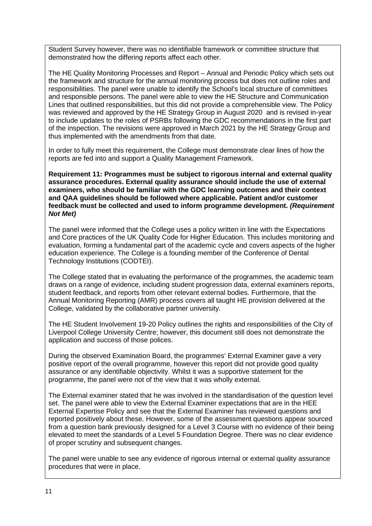Student Survey however, there was no identifiable framework or committee structure that demonstrated how the differing reports affect each other.

The HE Quality Monitoring Processes and Report – Annual and Periodic Policy which sets out the framework and structure for the annual monitoring process but does not outline roles and responsibilities. The panel were unable to identify the School's local structure of committees and responsible persons. The panel were able to view the HE Structure and Communication Lines that outlined responsibilities, but this did not provide a comprehensible view. The Policy was reviewed and approved by the HE Strategy Group in August 2020 and is revised in-year to include updates to the roles of PSRBs following the GDC recommendations in the first part of the inspection. The revisions were approved in March 2021 by the HE Strategy Group and thus implemented with the amendments from that date.

In order to fully meet this requirement, the College must demonstrate clear lines of how the reports are fed into and support a Quality Management Framework.

**Requirement 11: Programmes must be subject to rigorous internal and external quality assurance procedures. External quality assurance should include the use of external examiners, who should be familiar with the GDC learning outcomes and their context and QAA guidelines should be followed where applicable. Patient and/or customer feedback must be collected and used to inform programme development.** *(Requirement Not Met)*

The panel were informed that the College uses a policy written in line with the Expectations and Core practices of the UK Quality Code for Higher Education. This includes monitoring and evaluation, forming a fundamental part of the academic cycle and covers aspects of the higher education experience. The College is a founding member of the Conference of Dental Technology Institutions (CODTEI).

The College stated that in evaluating the performance of the programmes, the academic team draws on a range of evidence, including student progression data, external examiners reports, student feedback, and reports from other relevant external bodies. Furthermore, that the Annual Monitoring Reporting (AMR) process covers all taught HE provision delivered at the College, validated by the collaborative partner university.

The HE Student Involvement 19-20 Policy outlines the rights and responsibilities of the City of Liverpool College University Centre; however, this document still does not demonstrate the application and success of those polices.

During the observed Examination Board, the programmes' External Examiner gave a very positive report of the overall programme, however this report did not provide good quality assurance or any identifiable objectivity. Whilst it was a supportive statement for the programme, the panel were not of the view that it was wholly external.

The External examiner stated that he was involved in the standardisation of the question level set. The panel were able to view the External Examiner expectations that are in the HEE External Expertise Policy and see that the External Examiner has reviewed questions and reported positively about these. However, some of the assessment questions appear sourced from a question bank previously designed for a Level 3 Course with no evidence of their being elevated to meet the standards of a Level 5 Foundation Degree. There was no clear evidence of proper scrutiny and subsequent changes.

The panel were unable to see any evidence of rigorous internal or external quality assurance procedures that were in place.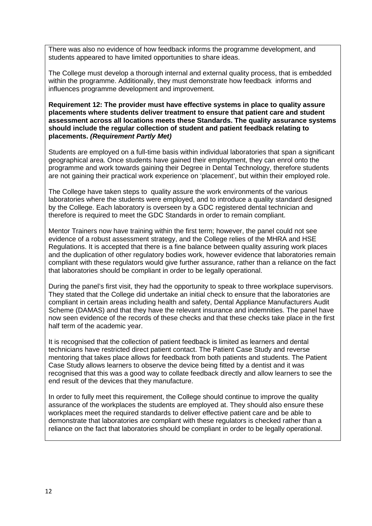There was also no evidence of how feedback informs the programme development, and students appeared to have limited opportunities to share ideas.

The College must develop a thorough internal and external quality process, that is embedded within the programme. Additionally, they must demonstrate how feedback informs and influences programme development and improvement.

**Requirement 12: The provider must have effective systems in place to quality assure placements where students deliver treatment to ensure that patient care and student assessment across all locations meets these Standards. The quality assurance systems should include the regular collection of student and patient feedback relating to placements.** *(Requirement Partly Met)*

Students are employed on a full-time basis within individual laboratories that span a significant geographical area. Once students have gained their employment, they can enrol onto the programme and work towards gaining their Degree in Dental Technology, therefore students are not gaining their practical work experience on 'placement', but within their employed role.

The College have taken steps to quality assure the work environments of the various laboratories where the students were employed, and to introduce a quality standard designed by the College. Each laboratory is overseen by a GDC registered dental technician and therefore is required to meet the GDC Standards in order to remain compliant.

Mentor Trainers now have training within the first term; however, the panel could not see evidence of a robust assessment strategy, and the College relies of the MHRA and HSE Regulations. It is accepted that there is a fine balance between quality assuring work places and the duplication of other regulatory bodies work, however evidence that laboratories remain compliant with these regulators would give further assurance, rather than a reliance on the fact that laboratories should be compliant in order to be legally operational.

During the panel's first visit, they had the opportunity to speak to three workplace supervisors. They stated that the College did undertake an initial check to ensure that the laboratories are compliant in certain areas including health and safety, Dental Appliance Manufacturers Audit Scheme (DAMAS) and that they have the relevant insurance and indemnities. The panel have now seen evidence of the records of these checks and that these checks take place in the first half term of the academic year.

It is recognised that the collection of patient feedback is limited as learners and dental technicians have restricted direct patient contact. The Patient Case Study and reverse mentoring that takes place allows for feedback from both patients and students. The Patient Case Study allows learners to observe the device being fitted by a dentist and it was recognised that this was a good way to collate feedback directly and allow learners to see the end result of the devices that they manufacture.

In order to fully meet this requirement, the College should continue to improve the quality assurance of the workplaces the students are employed at. They should also ensure these workplaces meet the required standards to deliver effective patient care and be able to demonstrate that laboratories are compliant with these regulators is checked rather than a reliance on the fact that laboratories should be compliant in order to be legally operational.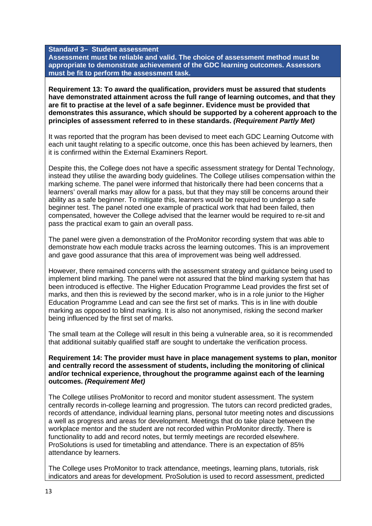#### **Standard 3– Student assessment**

**Assessment must be reliable and valid. The choice of assessment method must be appropriate to demonstrate achievement of the GDC learning outcomes. Assessors must be fit to perform the assessment task.**

**Requirement 13: To award the qualification, providers must be assured that students have demonstrated attainment across the full range of learning outcomes, and that they are fit to practise at the level of a safe beginner. Evidence must be provided that demonstrates this assurance, which should be supported by a coherent approach to the principles of assessment referred to in these standards.** *(Requirement Partly Met)*

It was reported that the program has been devised to meet each GDC Learning Outcome with each unit taught relating to a specific outcome, once this has been achieved by learners, then it is confirmed within the External Examiners Report.

Despite this, the College does not have a specific assessment strategy for Dental Technology, instead they utilise the awarding body guidelines. The College utilises compensation within the marking scheme. The panel were informed that historically there had been concerns that a learners' overall marks may allow for a pass, but that they may still be concerns around their ability as a safe beginner. To mitigate this, learners would be required to undergo a safe beginner test. The panel noted one example of practical work that had been failed, then compensated, however the College advised that the learner would be required to re-sit and pass the practical exam to gain an overall pass.

The panel were given a demonstration of the ProMonitor recording system that was able to demonstrate how each module tracks across the learning outcomes. This is an improvement and gave good assurance that this area of improvement was being well addressed.

However, there remained concerns with the assessment strategy and guidance being used to implement blind marking. The panel were not assured that the blind marking system that has been introduced is effective. The Higher Education Programme Lead provides the first set of marks, and then this is reviewed by the second marker, who is in a role junior to the Higher Education Programme Lead and can see the first set of marks. This is in line with double marking as opposed to blind marking. It is also not anonymised, risking the second marker being influenced by the first set of marks.

The small team at the College will result in this being a vulnerable area, so it is recommended that additional suitably qualified staff are sought to undertake the verification process.

#### **Requirement 14: The provider must have in place management systems to plan, monitor and centrally record the assessment of students, including the monitoring of clinical and/or technical experience, throughout the programme against each of the learning outcomes.** *(Requirement Met)*

The College utilises ProMonitor to record and monitor student assessment. The system centrally records in-college learning and progression. The tutors can record predicted grades, records of attendance, individual learning plans, personal tutor meeting notes and discussions a well as progress and areas for development. Meetings that do take place between the workplace mentor and the student are not recorded within ProMonitor directly. There is functionality to add and record notes, but termly meetings are recorded elsewhere. ProSolutions is used for timetabling and attendance. There is an expectation of 85% attendance by learners.

The College uses ProMonitor to track attendance, meetings, learning plans, tutorials, risk indicators and areas for development. ProSolution is used to record assessment, predicted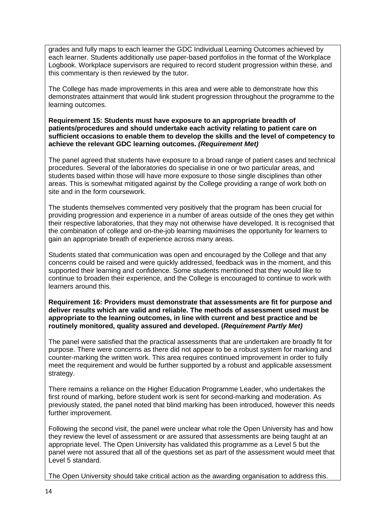grades and fully maps to each learner the GDC Individual Learning Outcomes achieved by each learner. Students additionally use paper-based portfolios in the format of the Workplace Logbook. Workplace supervisors are required to record student progression within these, and this commentary is then reviewed by the tutor.

The College has made improvements in this area and were able to demonstrate how this demonstrates attainment that would link student progression throughout the programme to the learning outcomes.

**Requirement 15: Students must have exposure to an appropriate breadth of patients/procedures and should undertake each activity relating to patient care on sufficient occasions to enable them to develop the skills and the level of competency to achieve the relevant GDC learning outcomes.** *(Requirement Met)*

The panel agreed that students have exposure to a broad range of patient cases and technical procedures. Several of the laboratories do specialise in one or two particular areas, and students based within those will have more exposure to those single disciplines than other areas. This is somewhat mitigated against by the College providing a range of work both on site and in the form coursework.

The students themselves commented very positively that the program has been crucial for providing progression and experience in a number of areas outside of the ones they get within their respective laboratories, that they may not otherwise have developed. It is recognised that the combination of college and on-the-job learning maximises the opportunity for learners to gain an appropriate breath of experience across many areas.

Students stated that communication was open and encouraged by the College and that any concerns could be raised and were quickly addressed, feedback was in the moment, and this supported their learning and confidence. Some students mentioned that they would like to continue to broaden their experience, and the College is encouraged to continue to work with learners around this.

**Requirement 16: Providers must demonstrate that assessments are fit for purpose and deliver results which are valid and reliable. The methods of assessment used must be appropriate to the learning outcomes, in line with current and best practice and be routinely monitored, quality assured and developed. (***Requirement Partly Met)*

The panel were satisfied that the practical assessments that are undertaken are broadly fit for purpose. There were concerns as there did not appear to be a robust system for marking and counter-marking the written work. This area requires continued improvement in order to fully meet the requirement and would be further supported by a robust and applicable assessment strategy.

There remains a reliance on the Higher Education Programme Leader, who undertakes the first round of marking, before student work is sent for second-marking and moderation. As previously stated, the panel noted that blind marking has been introduced, however this needs further improvement.

Following the second visit, the panel were unclear what role the Open University has and how they review the level of assessment or are assured that assessments are being taught at an appropriate level. The Open University has validated this programme as a Level 5 but the panel were not assured that all of the questions set as part of the assessment would meet that Level 5 standard.

The Open University should take critical action as the awarding organisation to address this.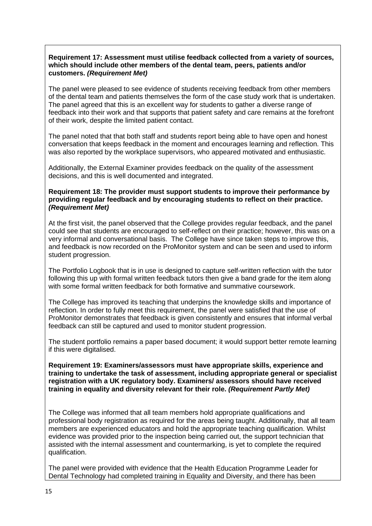#### **Requirement 17: Assessment must utilise feedback collected from a variety of sources, which should include other members of the dental team, peers, patients and/or customers.** *(Requirement Met)*

The panel were pleased to see evidence of students receiving feedback from other members of the dental team and patients themselves the form of the case study work that is undertaken. The panel agreed that this is an excellent way for students to gather a diverse range of feedback into their work and that supports that patient safety and care remains at the forefront of their work, despite the limited patient contact.

The panel noted that that both staff and students report being able to have open and honest conversation that keeps feedback in the moment and encourages learning and reflection. This was also reported by the workplace supervisors, who appeared motivated and enthusiastic.

Additionally, the External Examiner provides feedback on the quality of the assessment decisions, and this is well documented and integrated.

#### **Requirement 18: The provider must support students to improve their performance by providing regular feedback and by encouraging students to reflect on their practice.**  *(Requirement Met)*

At the first visit, the panel observed that the College provides regular feedback, and the panel could see that students are encouraged to self-reflect on their practice; however, this was on a very informal and conversational basis. The College have since taken steps to improve this, and feedback is now recorded on the ProMonitor system and can be seen and used to inform student progression.

The Portfolio Logbook that is in use is designed to capture self-written reflection with the tutor following this up with formal written feedback tutors then give a band grade for the item along with some formal written feedback for both formative and summative coursework.

The College has improved its teaching that underpins the knowledge skills and importance of reflection. In order to fully meet this requirement, the panel were satisfied that the use of ProMonitor demonstrates that feedback is given consistently and ensures that informal verbal feedback can still be captured and used to monitor student progression.

The student portfolio remains a paper based document; it would support better remote learning if this were digitalised.

**Requirement 19: Examiners/assessors must have appropriate skills, experience and training to undertake the task of assessment, including appropriate general or specialist registration with a UK regulatory body. Examiners/ assessors should have received training in equality and diversity relevant for their role.** *(Requirement Partly Met)*

The College was informed that all team members hold appropriate qualifications and professional body registration as required for the areas being taught. Additionally, that all team members are experienced educators and hold the appropriate teaching qualification. Whilst evidence was provided prior to the inspection being carried out, the support technician that assisted with the internal assessment and countermarking, is yet to complete the required qualification.

The panel were provided with evidence that the Health Education Programme Leader for Dental Technology had completed training in Equality and Diversity, and there has been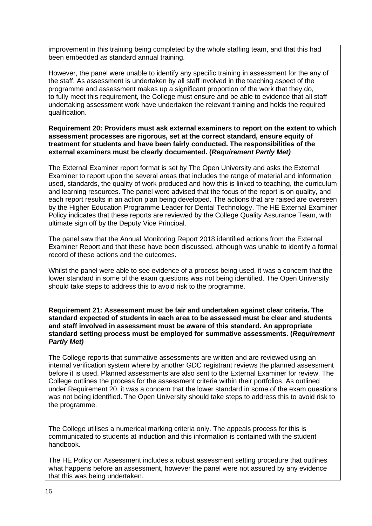improvement in this training being completed by the whole staffing team, and that this had been embedded as standard annual training.

However, the panel were unable to identify any specific training in assessment for the any of the staff. As assessment is undertaken by all staff involved in the teaching aspect of the programme and assessment makes up a significant proportion of the work that they do, to fully meet this requirement, the College must ensure and be able to evidence that all staff undertaking assessment work have undertaken the relevant training and holds the required qualification.

#### **Requirement 20: Providers must ask external examiners to report on the extent to which assessment processes are rigorous, set at the correct standard, ensure equity of treatment for students and have been fairly conducted. The responsibilities of the external examiners must be clearly documented. (***Requirement Partly Met)*

The External Examiner report format is set by The Open University and asks the External Examiner to report upon the several areas that includes the range of material and information used, standards, the quality of work produced and how this is linked to teaching, the curriculum and learning resources. The panel were advised that the focus of the report is on quality, and each report results in an action plan being developed. The actions that are raised are overseen by the Higher Education Programme Leader for Dental Technology. The HE External Examiner Policy indicates that these reports are reviewed by the College Quality Assurance Team, with ultimate sign off by the Deputy Vice Principal.

The panel saw that the Annual Monitoring Report 2018 identified actions from the External Examiner Report and that these have been discussed, although was unable to identify a formal record of these actions and the outcomes.

Whilst the panel were able to see evidence of a process being used, it was a concern that the lower standard in some of the exam questions was not being identified. The Open University should take steps to address this to avoid risk to the programme.

**Requirement 21: Assessment must be fair and undertaken against clear criteria. The standard expected of students in each area to be assessed must be clear and students and staff involved in assessment must be aware of this standard. An appropriate standard setting process must be employed for summative assessments. (***Requirement Partly Met)*

The College reports that summative assessments are written and are reviewed using an internal verification system where by another GDC registrant reviews the planned assessment before it is used. Planned assessments are also sent to the External Examiner for review. The College outlines the process for the assessment criteria within their portfolios. As outlined under Requirement 20, it was a concern that the lower standard in some of the exam questions was not being identified. The Open University should take steps to address this to avoid risk to the programme.

The College utilises a numerical marking criteria only. The appeals process for this is communicated to students at induction and this information is contained with the student handbook.

The HE Policy on Assessment includes a robust assessment setting procedure that outlines what happens before an assessment, however the panel were not assured by any evidence that this was being undertaken.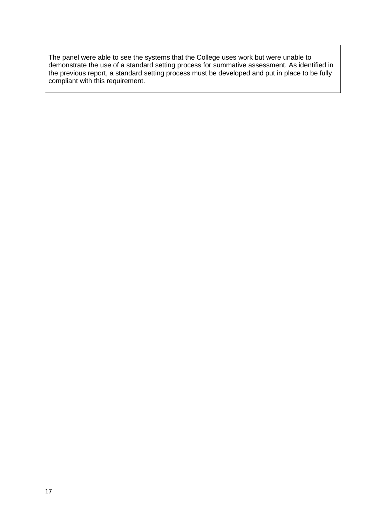The panel were able to see the systems that the College uses work but were unable to demonstrate the use of a standard setting process for summative assessment. As identified in the previous report, a standard setting process must be developed and put in place to be fully compliant with this requirement.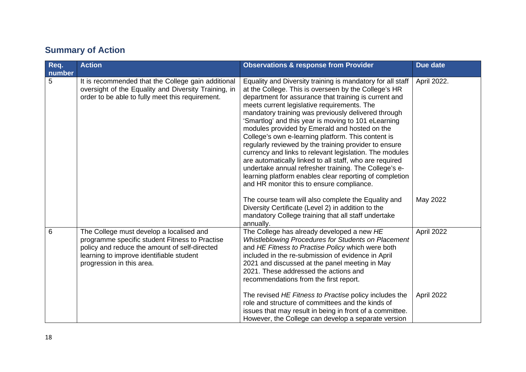# **Summary of Action**

| Req.<br>number | <b>Action</b>                                                                                                                                                                                                        | <b>Observations &amp; response from Provider</b>                                                                                                                                                                                                                                                                                                                                                                                                                                                                                                                                                                                                                                                                                                                                                | Due date    |
|----------------|----------------------------------------------------------------------------------------------------------------------------------------------------------------------------------------------------------------------|-------------------------------------------------------------------------------------------------------------------------------------------------------------------------------------------------------------------------------------------------------------------------------------------------------------------------------------------------------------------------------------------------------------------------------------------------------------------------------------------------------------------------------------------------------------------------------------------------------------------------------------------------------------------------------------------------------------------------------------------------------------------------------------------------|-------------|
| 5              | It is recommended that the College gain additional<br>oversight of the Equality and Diversity Training, in<br>order to be able to fully meet this requirement.                                                       | Equality and Diversity training is mandatory for all staff<br>at the College. This is overseen by the College's HR<br>department for assurance that training is current and<br>meets current legislative requirements. The<br>mandatory training was previously delivered through<br>'Smartlog' and this year is moving to 101 eLearning<br>modules provided by Emerald and hosted on the<br>College's own e-learning platform. This content is<br>regularly reviewed by the training provider to ensure<br>currency and links to relevant legislation. The modules<br>are automatically linked to all staff, who are required<br>undertake annual refresher training. The College's e-<br>learning platform enables clear reporting of completion<br>and HR monitor this to ensure compliance. | April 2022. |
|                |                                                                                                                                                                                                                      | The course team will also complete the Equality and<br>Diversity Certificate (Level 2) in addition to the<br>mandatory College training that all staff undertake<br>annually.                                                                                                                                                                                                                                                                                                                                                                                                                                                                                                                                                                                                                   | May 2022    |
| 6              | The College must develop a localised and<br>programme specific student Fitness to Practise<br>policy and reduce the amount of self-directed<br>learning to improve identifiable student<br>progression in this area. | The College has already developed a new HE<br>Whistleblowing Procedures for Students on Placement<br>and HE Fitness to Practise Policy which were both<br>included in the re-submission of evidence in April<br>2021 and discussed at the panel meeting in May<br>2021. These addressed the actions and<br>recommendations from the first report.                                                                                                                                                                                                                                                                                                                                                                                                                                               | April 2022  |
|                |                                                                                                                                                                                                                      | The revised HE Fitness to Practise policy includes the<br>role and structure of committees and the kinds of<br>issues that may result in being in front of a committee.<br>However, the College can develop a separate version                                                                                                                                                                                                                                                                                                                                                                                                                                                                                                                                                                  | April 2022  |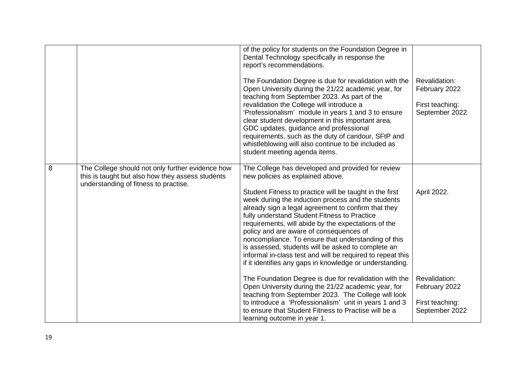|   |                                                                                                                                               | of the policy for students on the Foundation Degree in<br>Dental Technology specifically in response the<br>report's recommendations.<br>The Foundation Degree is due for revalidation with the<br>Open University during the 21/22 academic year, for<br>teaching from September 2023. As part of the<br>revalidation the College will introduce a<br>'Professionalism' module in years 1 and 3 to ensure<br>clear student development in this important area.<br>GDC updates, guidance and professional<br>requirements, such as the duty of candour, SFtP and<br>whistleblowing will also continue to be included as<br>student meeting agenda items. | Revalidation:<br>February 2022<br>First teaching:<br>September 2022 |
|---|-----------------------------------------------------------------------------------------------------------------------------------------------|----------------------------------------------------------------------------------------------------------------------------------------------------------------------------------------------------------------------------------------------------------------------------------------------------------------------------------------------------------------------------------------------------------------------------------------------------------------------------------------------------------------------------------------------------------------------------------------------------------------------------------------------------------|---------------------------------------------------------------------|
| 8 | The College should not only further evidence how<br>this is taught but also how they assess students<br>understanding of fitness to practise. | The College has developed and provided for review<br>new policies as explained above.<br>Student Fitness to practice will be taught in the first<br>week during the induction process and the students<br>already sign a legal agreement to confirm that they<br>fully understand Student Fitness to Practice<br>requirements, will abide by the expectations of the<br>policy and are aware of consequences of<br>noncompliance. To ensure that understanding of this<br>is assessed, students will be asked to complete an<br>informal in-class test and will be required to repeat this<br>if it identifies any gaps in knowledge or understanding.   | April 2022.                                                         |
|   |                                                                                                                                               | The Foundation Degree is due for revalidation with the<br>Open University during the 21/22 academic year, for<br>teaching from September 2023. The College will look<br>to introduce a 'Professionalism' unit in years 1 and 3<br>to ensure that Student Fitness to Practise will be a<br>learning outcome in year 1.                                                                                                                                                                                                                                                                                                                                    | Revalidation:<br>February 2022<br>First teaching:<br>September 2022 |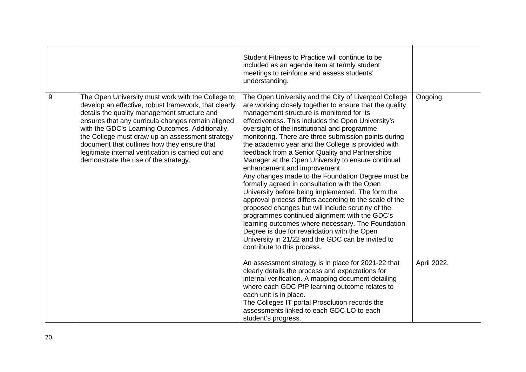|       |                                                                                                                                                                                                                                                                                                                                                                                                                                                                    | Student Fitness to Practice will continue to be<br>included as an agenda item at termly student<br>meetings to reinforce and assess students'<br>understanding.                                                                                                                                                                                                                                                                                                                                                                                                                                                                                                                                                                                                                                                                                                                                                                                                                                                                                                                                                                                                                                                                                                                              |                         |
|-------|--------------------------------------------------------------------------------------------------------------------------------------------------------------------------------------------------------------------------------------------------------------------------------------------------------------------------------------------------------------------------------------------------------------------------------------------------------------------|----------------------------------------------------------------------------------------------------------------------------------------------------------------------------------------------------------------------------------------------------------------------------------------------------------------------------------------------------------------------------------------------------------------------------------------------------------------------------------------------------------------------------------------------------------------------------------------------------------------------------------------------------------------------------------------------------------------------------------------------------------------------------------------------------------------------------------------------------------------------------------------------------------------------------------------------------------------------------------------------------------------------------------------------------------------------------------------------------------------------------------------------------------------------------------------------------------------------------------------------------------------------------------------------|-------------------------|
| $9\,$ | The Open University must work with the College to<br>develop an effective, robust framework, that clearly<br>details the quality management structure and<br>ensures that any curricula changes remain aligned<br>with the GDC's Learning Outcomes. Additionally,<br>the College must draw up an assessment strategy<br>document that outlines how they ensure that<br>legitimate internal verification is carried out and<br>demonstrate the use of the strategy. | The Open University and the City of Liverpool College<br>are working closely together to ensure that the quality<br>management structure is monitored for its<br>effectiveness. This includes the Open University's<br>oversight of the institutional and programme<br>monitoring. There are three submission points during<br>the academic year and the College is provided with<br>feedback from a Senior Quality and Partnerships<br>Manager at the Open University to ensure continual<br>enhancement and improvement.<br>Any changes made to the Foundation Degree must be<br>formally agreed in consultation with the Open<br>University before being implemented. The form the<br>approval process differs according to the scale of the<br>proposed changes but will include scrutiny of the<br>programmes continued alignment with the GDC's<br>learning outcomes where necessary. The Foundation<br>Degree is due for revalidation with the Open<br>University in 21/22 and the GDC can be invited to<br>contribute to this process.<br>An assessment strategy is in place for 2021-22 that<br>clearly details the process and expectations for<br>internal verification. A mapping document detailing<br>where each GDC PfP learning outcome relates to<br>each unit is in place. | Ongoing.<br>April 2022. |
|       |                                                                                                                                                                                                                                                                                                                                                                                                                                                                    | The Colleges IT portal Prosolution records the<br>assessments linked to each GDC LO to each<br>student's progress.                                                                                                                                                                                                                                                                                                                                                                                                                                                                                                                                                                                                                                                                                                                                                                                                                                                                                                                                                                                                                                                                                                                                                                           |                         |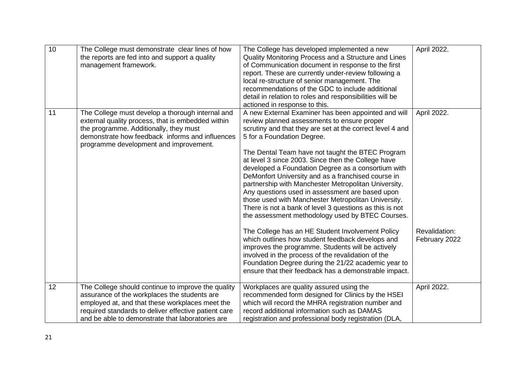| 10 | The College must demonstrate clear lines of how<br>the reports are fed into and support a quality<br>management framework.                                                                                                                                        | The College has developed implemented a new<br>Quality Monitoring Process and a Structure and Lines<br>of Communication document in response to the first<br>report. These are currently under-review following a<br>local re-structure of senior management. The<br>recommendations of the GDC to include additional<br>detail in relation to roles and responsibilities will be<br>actioned in response to this.                                                                                                                                                                                                                                                                                                                                                                                                                                                                                                                                                                                                                      | April 2022.                                   |
|----|-------------------------------------------------------------------------------------------------------------------------------------------------------------------------------------------------------------------------------------------------------------------|-----------------------------------------------------------------------------------------------------------------------------------------------------------------------------------------------------------------------------------------------------------------------------------------------------------------------------------------------------------------------------------------------------------------------------------------------------------------------------------------------------------------------------------------------------------------------------------------------------------------------------------------------------------------------------------------------------------------------------------------------------------------------------------------------------------------------------------------------------------------------------------------------------------------------------------------------------------------------------------------------------------------------------------------|-----------------------------------------------|
| 11 | The College must develop a thorough internal and<br>external quality process, that is embedded within<br>the programme. Additionally, they must<br>demonstrate how feedback informs and influences<br>programme development and improvement.                      | A new External Examiner has been appointed and will<br>review planned assessments to ensure proper<br>scrutiny and that they are set at the correct level 4 and<br>5 for a Foundation Degree.<br>The Dental Team have not taught the BTEC Program<br>at level 3 since 2003. Since then the College have<br>developed a Foundation Degree as a consortium with<br>DeMonfort University and as a franchised course in<br>partnership with Manchester Metropolitan University.<br>Any questions used in assessment are based upon<br>those used with Manchester Metropolitan University.<br>There is not a bank of level 3 questions as this is not<br>the assessment methodology used by BTEC Courses.<br>The College has an HE Student Involvement Policy<br>which outlines how student feedback develops and<br>improves the programme. Students will be actively<br>involved in the process of the revalidation of the<br>Foundation Degree during the 21/22 academic year to<br>ensure that their feedback has a demonstrable impact. | April 2022.<br>Revalidation:<br>February 2022 |
| 12 | The College should continue to improve the quality<br>assurance of the workplaces the students are<br>employed at, and that these workplaces meet the<br>required standards to deliver effective patient care<br>and be able to demonstrate that laboratories are | Workplaces are quality assured using the<br>recommended form designed for Clinics by the HSEI<br>which will record the MHRA registration number and<br>record additional information such as DAMAS<br>registration and professional body registration (DLA,                                                                                                                                                                                                                                                                                                                                                                                                                                                                                                                                                                                                                                                                                                                                                                             | April 2022.                                   |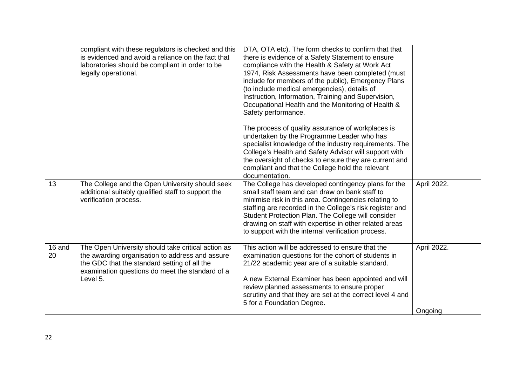|              | compliant with these regulators is checked and this<br>is evidenced and avoid a reliance on the fact that<br>laboratories should be compliant in order to be<br>legally operational.                                 | DTA, OTA etc). The form checks to confirm that that<br>there is evidence of a Safety Statement to ensure<br>compliance with the Health & Safety at Work Act<br>1974, Risk Assessments have been completed (must<br>include for members of the public), Emergency Plans<br>(to include medical emergencies), details of<br>Instruction, Information, Training and Supervision,<br>Occupational Health and the Monitoring of Health &<br>Safety performance. |                        |
|--------------|----------------------------------------------------------------------------------------------------------------------------------------------------------------------------------------------------------------------|------------------------------------------------------------------------------------------------------------------------------------------------------------------------------------------------------------------------------------------------------------------------------------------------------------------------------------------------------------------------------------------------------------------------------------------------------------|------------------------|
|              |                                                                                                                                                                                                                      | The process of quality assurance of workplaces is<br>undertaken by the Programme Leader who has<br>specialist knowledge of the industry requirements. The<br>College's Health and Safety Advisor will support with<br>the oversight of checks to ensure they are current and<br>compliant and that the College hold the relevant<br>documentation.                                                                                                         |                        |
| 13           | The College and the Open University should seek<br>additional suitably qualified staff to support the<br>verification process.                                                                                       | The College has developed contingency plans for the<br>small staff team and can draw on bank staff to<br>minimise risk in this area. Contingencies relating to<br>staffing are recorded in the College's risk register and<br>Student Protection Plan. The College will consider<br>drawing on staff with expertise in other related areas<br>to support with the internal verification process.                                                           | April 2022.            |
| 16 and<br>20 | The Open University should take critical action as<br>the awarding organisation to address and assure<br>the GDC that the standard setting of all the<br>examination questions do meet the standard of a<br>Level 5. | This action will be addressed to ensure that the<br>examination questions for the cohort of students in<br>21/22 academic year are of a suitable standard.<br>A new External Examiner has been appointed and will<br>review planned assessments to ensure proper<br>scrutiny and that they are set at the correct level 4 and<br>5 for a Foundation Degree.                                                                                                | April 2022.<br>Ongoing |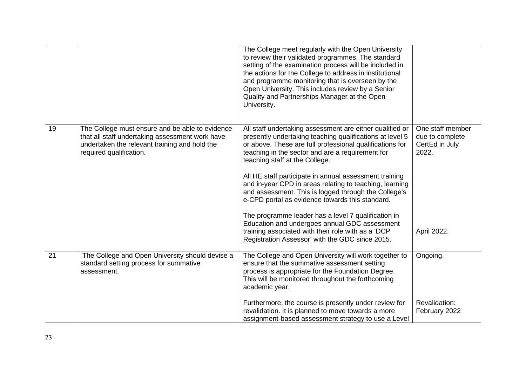|    |                                                                                                                                                                                | The College meet regularly with the Open University<br>to review their validated programmes. The standard<br>setting of the examination process will be included in<br>the actions for the College to address in institutional<br>and programme monitoring that is overseen by the<br>Open University. This includes review by a Senior<br>Quality and Partnerships Manager at the Open<br>University.                                                                                                                                                                                                                                                                                                                  |                                                                               |
|----|--------------------------------------------------------------------------------------------------------------------------------------------------------------------------------|-------------------------------------------------------------------------------------------------------------------------------------------------------------------------------------------------------------------------------------------------------------------------------------------------------------------------------------------------------------------------------------------------------------------------------------------------------------------------------------------------------------------------------------------------------------------------------------------------------------------------------------------------------------------------------------------------------------------------|-------------------------------------------------------------------------------|
| 19 | The College must ensure and be able to evidence<br>that all staff undertaking assessment work have<br>undertaken the relevant training and hold the<br>required qualification. | All staff undertaking assessment are either qualified or<br>presently undertaking teaching qualifications at level 5<br>or above. These are full professional qualifications for<br>teaching in the sector and are a requirement for<br>teaching staff at the College.<br>All HE staff participate in annual assessment training<br>and in-year CPD in areas relating to teaching, learning<br>and assessment. This is logged through the College's<br>e-CPD portal as evidence towards this standard.<br>The programme leader has a level 7 qualification in<br>Education and undergoes annual GDC assessment<br>training associated with their role with as a 'DCP<br>Registration Assessor' with the GDC since 2015. | One staff member<br>due to complete<br>CertEd in July<br>2022.<br>April 2022. |
| 21 | The College and Open University should devise a<br>standard setting process for summative<br>assessment.                                                                       | The College and Open University will work together to<br>ensure that the summative assessment setting<br>process is appropriate for the Foundation Degree.<br>This will be monitored throughout the forthcoming<br>academic year.                                                                                                                                                                                                                                                                                                                                                                                                                                                                                       | Ongoing.                                                                      |
|    |                                                                                                                                                                                | Furthermore, the course is presently under review for<br>revalidation. It is planned to move towards a more<br>assignment-based assessment strategy to use a Level                                                                                                                                                                                                                                                                                                                                                                                                                                                                                                                                                      | Revalidation:<br>February 2022                                                |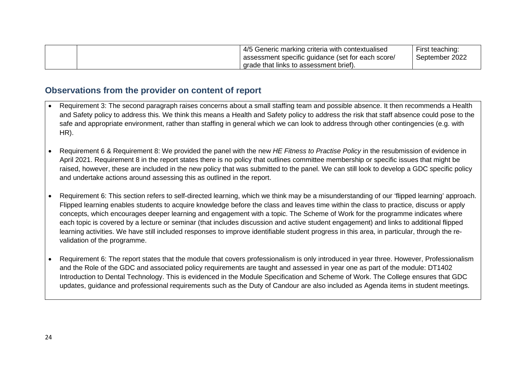|  | 4/5 Generic marking criteria with contextualised  | First teaching: |
|--|---------------------------------------------------|-----------------|
|  | assessment specific guidance (set for each score/ | September 2022  |
|  | grade that links to assessment brief).            |                 |

### **Observations from the provider on content of report**

- Requirement 3: The second paragraph raises concerns about a small staffing team and possible absence. It then recommends a Health and Safety policy to address this. We think this means a Health and Safety policy to address the risk that staff absence could pose to the safe and appropriate environment, rather than staffing in general which we can look to address through other contingencies (e.g. with HR).
- Requirement 6 & Requirement 8: We provided the panel with the new *HE Fitness to Practise Policy* in the resubmission of evidence in April 2021. Requirement 8 in the report states there is no policy that outlines committee membership or specific issues that might be raised, however, these are included in the new policy that was submitted to the panel. We can still look to develop a GDC specific policy and undertake actions around assessing this as outlined in the report.
- Requirement 6: This section refers to self-directed learning, which we think may be a misunderstanding of our 'flipped learning' approach. Flipped learning enables students to acquire knowledge before the class and leaves time within the class to practice, discuss or apply concepts, which encourages deeper learning and engagement with a topic. The Scheme of Work for the programme indicates where each topic is covered by a lecture or seminar (that includes discussion and active student engagement) and links to additional flipped learning activities. We have still included responses to improve identifiable student progress in this area, in particular, through the revalidation of the programme.
- Requirement 6: The report states that the module that covers professionalism is only introduced in year three. However, Professionalism and the Role of the GDC and associated policy requirements are taught and assessed in year one as part of the module: DT1402 Introduction to Dental Technology. This is evidenced in the Module Specification and Scheme of Work. The College ensures that GDC updates, guidance and professional requirements such as the Duty of Candour are also included as Agenda items in student meetings.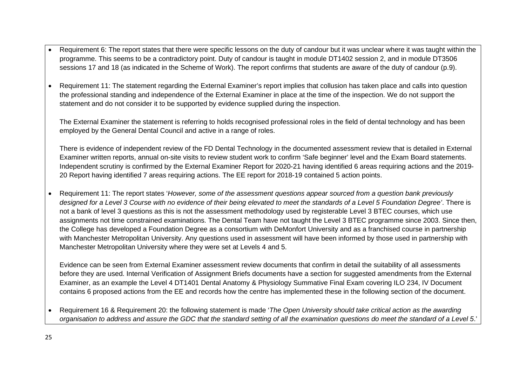- Requirement 6: The report states that there were specific lessons on the duty of candour but it was unclear where it was taught within the programme. This seems to be a contradictory point. Duty of candour is taught in module DT1402 session 2, and in module DT3506 sessions 17 and 18 (as indicated in the Scheme of Work). The report confirms that students are aware of the duty of candour (p.9).
- Requirement 11: The statement regarding the External Examiner's report implies that collusion has taken place and calls into question the professional standing and independence of the External Examiner in place at the time of the inspection. We do not support the statement and do not consider it to be supported by evidence supplied during the inspection.

The External Examiner the statement is referring to holds recognised professional roles in the field of dental technology and has been employed by the General Dental Council and active in a range of roles.

There is evidence of independent review of the FD Dental Technology in the documented assessment review that is detailed in External Examiner written reports, annual on-site visits to review student work to confirm 'Safe beginner' level and the Exam Board statements. Independent scrutiny is confirmed by the External Examiner Report for 2020-21 having identified 6 areas requiring actions and the 2019- 20 Report having identified 7 areas requiring actions. The EE report for 2018-19 contained 5 action points.

• Requirement 11: The report states '*However, some of the assessment questions appear sourced from a question bank previously designed for a Level 3 Course with no evidence of their being elevated to meet the standards of a Level 5 Foundation Degree'*. There is not a bank of level 3 questions as this is not the assessment methodology used by registerable Level 3 BTEC courses, which use assignments not time constrained examinations. The Dental Team have not taught the Level 3 BTEC programme since 2003. Since then, the College has developed a Foundation Degree as a consortium with DeMonfort University and as a franchised course in partnership with Manchester Metropolitan University. Any questions used in assessment will have been informed by those used in partnership with Manchester Metropolitan University where they were set at Levels 4 and 5.

Evidence can be seen from External Examiner assessment review documents that confirm in detail the suitability of all assessments before they are used. Internal Verification of Assignment Briefs documents have a section for suggested amendments from the External Examiner, as an example the Level 4 DT1401 Dental Anatomy & Physiology Summative Final Exam covering ILO 234, IV Document contains 6 proposed actions from the EE and records how the centre has implemented these in the following section of the document.

• Requirement 16 & Requirement 20: the following statement is made '*The Open University should take critical action as the awarding organisation to address and assure the GDC that the standard setting of all the examination questions do meet the standard of a Level 5*.'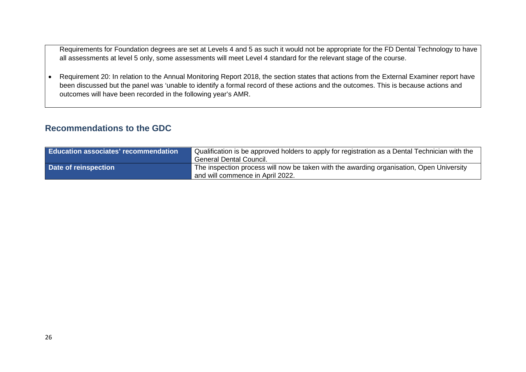Requirements for Foundation degrees are set at Levels 4 and 5 as such it would not be appropriate for the FD Dental Technology to have all assessments at level 5 only, some assessments will meet Level 4 standard for the relevant stage of the course.

• Requirement 20: In relation to the Annual Monitoring Report 2018, the section states that actions from the External Examiner report have been discussed but the panel was 'unable to identify a formal record of these actions and the outcomes. This is because actions and outcomes will have been recorded in the following year's AMR.

## **Recommendations to the GDC**

| <b>Education associates' recommendation</b> | Qualification is be approved holders to apply for registration as a Dental Technician with the<br>General Dental Council.    |
|---------------------------------------------|------------------------------------------------------------------------------------------------------------------------------|
| Date of reinspection                        | The inspection process will now be taken with the awarding organisation, Open University<br>and will commence in April 2022. |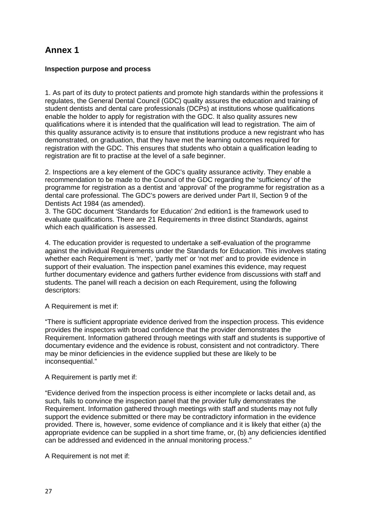# **Annex 1**

#### **Inspection purpose and process**

1. As part of its duty to protect patients and promote high standards within the professions it regulates, the General Dental Council (GDC) quality assures the education and training of student dentists and dental care professionals (DCPs) at institutions whose qualifications enable the holder to apply for registration with the GDC. It also quality assures new qualifications where it is intended that the qualification will lead to registration. The aim of this quality assurance activity is to ensure that institutions produce a new registrant who has demonstrated, on graduation, that they have met the learning outcomes required for registration with the GDC. This ensures that students who obtain a qualification leading to registration are fit to practise at the level of a safe beginner.

2. Inspections are a key element of the GDC's quality assurance activity. They enable a recommendation to be made to the Council of the GDC regarding the 'sufficiency' of the programme for registration as a dentist and 'approval' of the programme for registration as a dental care professional. The GDC's powers are derived under Part II, Section 9 of the Dentists Act 1984 (as amended).

3. The GDC document 'Standards for Education' 2nd edition1 is the framework used to evaluate qualifications. There are 21 Requirements in three distinct Standards, against which each qualification is assessed.

4. The education provider is requested to undertake a self-evaluation of the programme against the individual Requirements under the Standards for Education. This involves stating whether each Requirement is 'met', 'partly met' or 'not met' and to provide evidence in support of their evaluation. The inspection panel examines this evidence, may request further documentary evidence and gathers further evidence from discussions with staff and students. The panel will reach a decision on each Requirement, using the following descriptors:

A Requirement is met if:

"There is sufficient appropriate evidence derived from the inspection process. This evidence provides the inspectors with broad confidence that the provider demonstrates the Requirement. Information gathered through meetings with staff and students is supportive of documentary evidence and the evidence is robust, consistent and not contradictory. There may be minor deficiencies in the evidence supplied but these are likely to be inconsequential."

#### A Requirement is partly met if:

"Evidence derived from the inspection process is either incomplete or lacks detail and, as such, fails to convince the inspection panel that the provider fully demonstrates the Requirement. Information gathered through meetings with staff and students may not fully support the evidence submitted or there may be contradictory information in the evidence provided. There is, however, some evidence of compliance and it is likely that either (a) the appropriate evidence can be supplied in a short time frame, or, (b) any deficiencies identified can be addressed and evidenced in the annual monitoring process."

A Requirement is not met if: